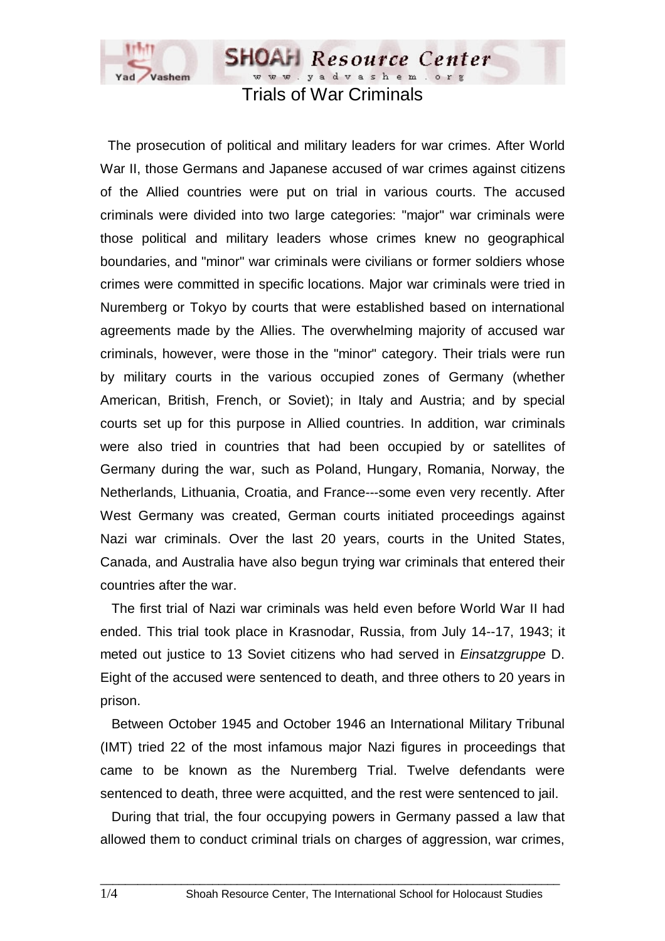

Trials of War Criminals

**SHOAH** Resource Center 

 The prosecution of political and military leaders for war crimes. After World War II, those Germans and Japanese accused of war crimes against citizens of the Allied countries were put on trial in various courts. The accused criminals were divided into two large categories: "major" war criminals were those political and military leaders whose crimes knew no geographical boundaries, and "minor" war criminals were civilians or former soldiers whose crimes were committed in specific locations. Major war criminals were tried in Nuremberg or Tokyo by courts that were established based on international agreements made by the Allies. The overwhelming majority of accused war criminals, however, were those in the "minor" category. Their trials were run by military courts in the various occupied zones of Germany (whether American, British, French, or Soviet); in Italy and Austria; and by special courts set up for this purpose in Allied countries. In addition, war criminals were also tried in countries that had been occupied by or satellites of Germany during the war, such as Poland, Hungary, Romania, Norway, the Netherlands, Lithuania, Croatia, and France---some even very recently. After West Germany was created, German courts initiated proceedings against Nazi war criminals. Over the last 20 years, courts in the United States, Canada, and Australia have also begun trying war criminals that entered their countries after the war.

 The first trial of Nazi war criminals was held even before World War II had ended. This trial took place in Krasnodar, Russia, from July 14--17, 1943; it meted out justice to 13 Soviet citizens who had served in *Einsatzgruppe* D. Eight of the accused were sentenced to death, and three others to 20 years in prison.

 Between October 1945 and October 1946 an International Military Tribunal (IMT) tried 22 of the most infamous major Nazi figures in proceedings that came to be known as the Nuremberg Trial. Twelve defendants were sentenced to death, three were acquitted, and the rest were sentenced to jail.

 During that trial, the four occupying powers in Germany passed a law that allowed them to conduct criminal trials on charges of aggression, war crimes,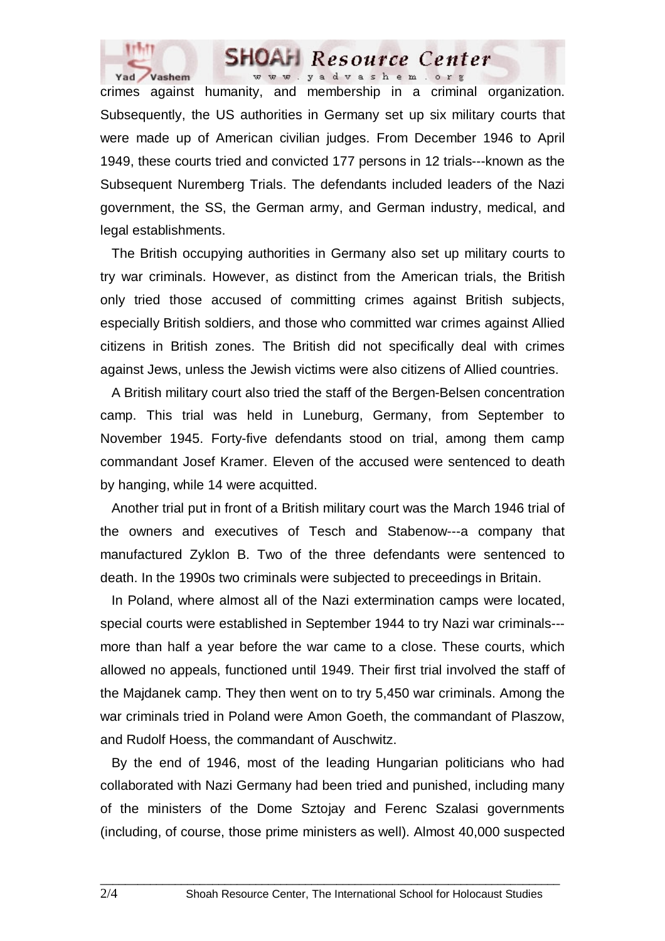



crimes against humanity, and membership in a criminal organization. Subsequently, the US authorities in Germany set up six military courts that were made up of American civilian judges. From December 1946 to April 1949, these courts tried and convicted 177 persons in 12 trials---known as the Subsequent Nuremberg Trials. The defendants included leaders of the Nazi government, the SS, the German army, and German industry, medical, and legal establishments.

 The British occupying authorities in Germany also set up military courts to try war criminals. However, as distinct from the American trials, the British only tried those accused of committing crimes against British subjects, especially British soldiers, and those who committed war crimes against Allied citizens in British zones. The British did not specifically deal with crimes against Jews, unless the Jewish victims were also citizens of Allied countries.

 A British military court also tried the staff of the Bergen-Belsen concentration camp. This trial was held in Luneburg, Germany, from September to November 1945. Forty-five defendants stood on trial, among them camp commandant Josef Kramer. Eleven of the accused were sentenced to death by hanging, while 14 were acquitted.

 Another trial put in front of a British military court was the March 1946 trial of the owners and executives of Tesch and Stabenow---a company that manufactured Zyklon B. Two of the three defendants were sentenced to death. In the 1990s two criminals were subjected to preceedings in Britain.

 In Poland, where almost all of the Nazi extermination camps were located, special courts were established in September 1944 to try Nazi war criminals-- more than half a year before the war came to a close. These courts, which allowed no appeals, functioned until 1949. Their first trial involved the staff of the Majdanek camp. They then went on to try 5,450 war criminals. Among the war criminals tried in Poland were Amon Goeth, the commandant of Plaszow, and Rudolf Hoess, the commandant of Auschwitz.

 By the end of 1946, most of the leading Hungarian politicians who had collaborated with Nazi Germany had been tried and punished, including many of the ministers of the Dome Sztojay and Ferenc Szalasi governments (including, of course, those prime ministers as well). Almost 40,000 suspected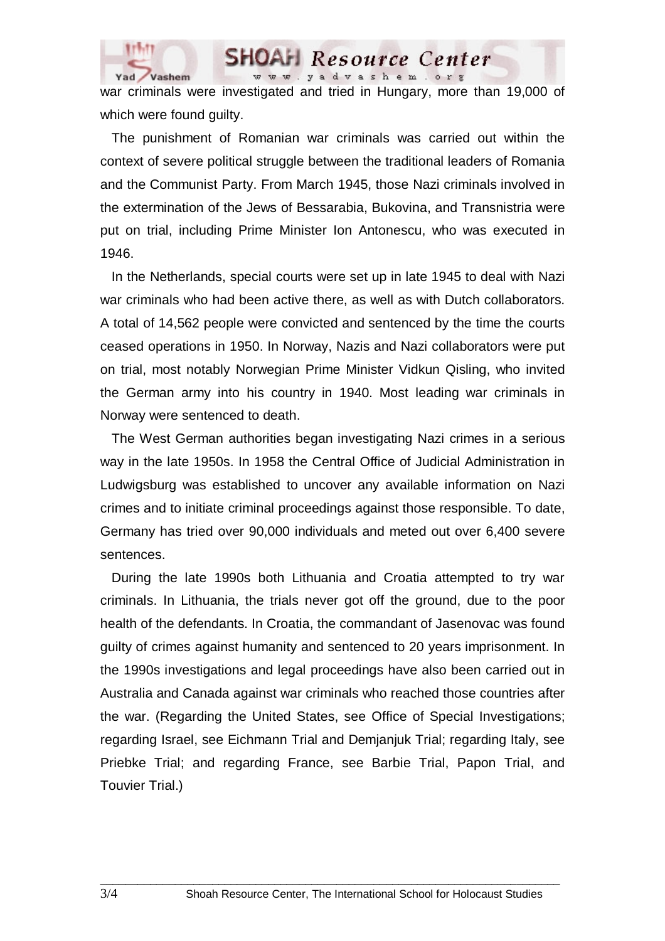

war criminals were investigated and tried in Hungary, more than 19,000 of which were found guilty.

www.yadvashem.org

Resource Center

 The punishment of Romanian war criminals was carried out within the context of severe political struggle between the traditional leaders of Romania and the Communist Party. From March 1945, those Nazi criminals involved in the extermination of the Jews of Bessarabia, Bukovina, and Transnistria were put on trial, including Prime Minister Ion Antonescu, who was executed in 1946.

 In the Netherlands, special courts were set up in late 1945 to deal with Nazi war criminals who had been active there, as well as with Dutch collaborators. A total of 14,562 people were convicted and sentenced by the time the courts ceased operations in 1950. In Norway, Nazis and Nazi collaborators were put on trial, most notably Norwegian Prime Minister Vidkun Qisling, who invited the German army into his country in 1940. Most leading war criminals in Norway were sentenced to death.

 The West German authorities began investigating Nazi crimes in a serious way in the late 1950s. In 1958 the Central Office of Judicial Administration in Ludwigsburg was established to uncover any available information on Nazi crimes and to initiate criminal proceedings against those responsible. To date, Germany has tried over 90,000 individuals and meted out over 6,400 severe sentences.

 During the late 1990s both Lithuania and Croatia attempted to try war criminals. In Lithuania, the trials never got off the ground, due to the poor health of the defendants. In Croatia, the commandant of Jasenovac was found guilty of crimes against humanity and sentenced to 20 years imprisonment. In the 1990s investigations and legal proceedings have also been carried out in Australia and Canada against war criminals who reached those countries after the war. (Regarding the United States, see Office of Special Investigations; regarding Israel, see Eichmann Trial and Demjanjuk Trial; regarding Italy, see Priebke Trial; and regarding France, see Barbie Trial, Papon Trial, and Touvier Trial.)